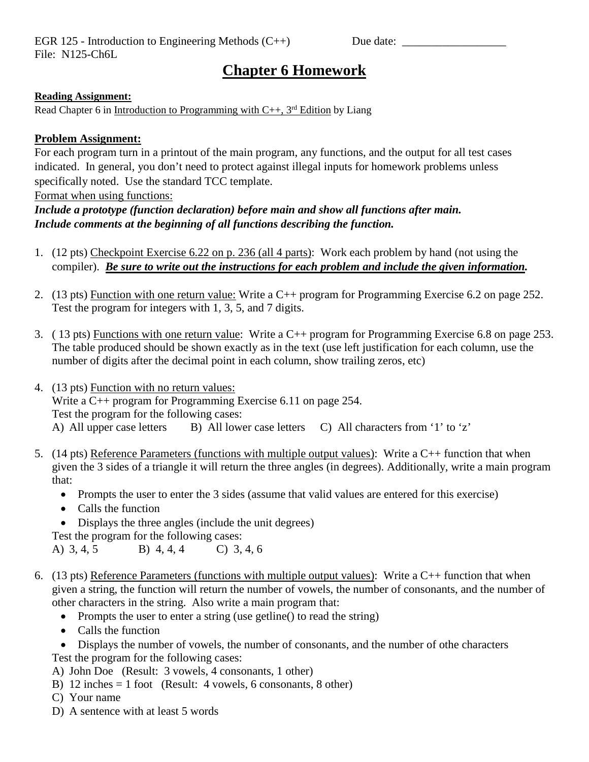EGR 125 - Introduction to Engineering Methods (C++) Due date: \_\_\_\_\_\_\_\_\_\_\_\_\_\_\_\_\_\_ File: N125-Ch6L

## **Chapter 6 Homework**

## **Reading Assignment:**

Read Chapter 6 in Introduction to Programming with  $C_{++}$ , 3<sup>rd</sup> Edition by Liang

## **Problem Assignment:**

For each program turn in a printout of the main program, any functions, and the output for all test cases indicated. In general, you don't need to protect against illegal inputs for homework problems unless specifically noted. Use the standard TCC template.

Format when using functions:

*Include a prototype (function declaration) before main and show all functions after main. Include comments at the beginning of all functions describing the function.*

- 1. (12 pts) Checkpoint Exercise 6.22 on p. 236 (all 4 parts): Work each problem by hand (not using the compiler). *Be sure to write out the instructions for each problem and include the given information.*
- 2. (13 pts) Function with one return value: Write a C++ program for Programming Exercise 6.2 on page 252. Test the program for integers with 1, 3, 5, and 7 digits.
- 3. ( 13 pts) Functions with one return value: Write a C++ program for Programming Exercise 6.8 on page 253. The table produced should be shown exactly as in the text (use left justification for each column, use the number of digits after the decimal point in each column, show trailing zeros, etc)
- 4. (13 pts) Function with no return values: Write a C++ program for Programming Exercise 6.11 on page 254. Test the program for the following cases: A) All upper case letters B) All lower case letters C) All characters from '1' to 'z'
- 5. (14 pts) Reference Parameters (functions with multiple output values): Write a C++ function that when given the 3 sides of a triangle it will return the three angles (in degrees). Additionally, write a main program that:
	- Prompts the user to enter the 3 sides (assume that valid values are entered for this exercise)
	- Calls the function
	- Displays the three angles (include the unit degrees)

Test the program for the following cases:

A) 3, 4, 5 B) 4, 4, 4 C) 3, 4, 6

- 6. (13 pts) Reference Parameters (functions with multiple output values): Write a  $C_{++}$  function that when given a string, the function will return the number of vowels, the number of consonants, and the number of other characters in the string. Also write a main program that:
	- Prompts the user to enter a string (use getline() to read the string)
	- Calls the function
	- Displays the number of vowels, the number of consonants, and the number of othe characters Test the program for the following cases:
	- A) John Doe (Result: 3 vowels, 4 consonants, 1 other)
	- B) 12 inches = 1 foot (Result: 4 vowels, 6 consonants, 8 other)
	- C) Your name
	- D) A sentence with at least 5 words